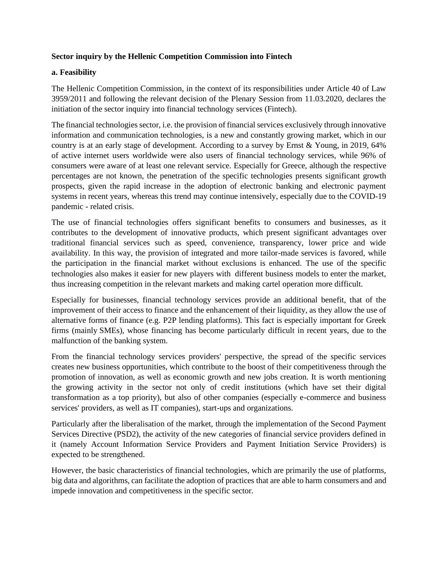## **Sector inquiry by the Hellenic Competition Commission into Fintech**

## **a. Feasibility**

The Hellenic Competition Commission, in the context of its responsibilities under Article 40 of Law 3959/2011 and following the relevant decision of the Plenary Session from 11.03.2020, declares the initiation of the sector inquiry into financial technology services (Fintech).

The financial technologies sector, i.e. the provision of financial services exclusively through innovative information and communication technologies, is a new and constantly growing market, which in our country is at an early stage of development. According to a survey by Ernst & Young, in 2019, 64% of active internet users worldwide were also users of financial technology services, while 96% of consumers were aware of at least one relevant service. Especially for Greece, although the respective percentages are not known, the penetration of the specific technologies presents significant growth prospects, given the rapid increase in the adoption of electronic banking and electronic payment systems in recent years, whereas this trend may continue intensively, especially due to the COVID-19 pandemic - related crisis.

The use of financial technologies offers significant benefits to consumers and businesses, as it contributes to the development of innovative products, which present significant advantages over traditional financial services such as speed, convenience, transparency, lower price and wide availability. In this way, the provision of integrated and more tailor-made services is favored, while the participation in the financial market without exclusions is enhanced. The use of the specific technologies also makes it easier for new players with different business models to enter the market, thus increasing competition in the relevant markets and making cartel operation more difficult.

Especially for businesses, financial technology services provide an additional benefit, that of the improvement of their access to finance and the enhancement of their liquidity, as they allow the use of alternative forms of finance (e.g. P2P lending platforms). This fact is especially important for Greek firms (mainly SMEs), whose financing has become particularly difficult in recent years, due to the malfunction of the banking system.

From the financial technology services providers' perspective, the spread of the specific services creates new business opportunities, which contribute to the boost of their competitiveness through the promotion of innovation, as well as economic growth and new jobs creation. It is worth mentioning the growing activity in the sector not only of credit institutions (which have set their digital transformation as a top priority), but also of other companies (especially e-commerce and business services' providers, as well as IT companies), start-ups and organizations.

Particularly after the liberalisation of the market, through the implementation of the Second Payment Services Directive (PSD2), the activity of the new categories of financial service providers defined in it (namely Account Information Service Providers and Payment Initiation Service Providers) is expected to be strengthened.

However, the basic characteristics of financial technologies, which are primarily the use of platforms, big data and algorithms, can facilitate the adoption of practices that are able to harm consumers and and impede innovation and competitiveness in the specific sector.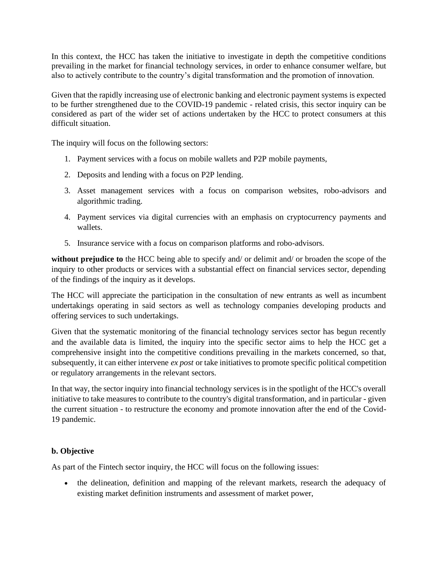In this context, the HCC has taken the initiative to investigate in depth the competitive conditions prevailing in the market for financial technology services, in order to enhance consumer welfare, but also to actively contribute to the country's digital transformation and the promotion of innovation.

Given that the rapidly increasing use of electronic banking and electronic payment systems is expected to be further strengthened due to the COVID-19 pandemic - related crisis, this sector inquiry can be considered as part of the wider set of actions undertaken by the HCC to protect consumers at this difficult situation.

The inquiry will focus on the following sectors:

- 1. Payment services with a focus on mobile wallets and P2P mobile payments,
- 2. Deposits and lending with a focus on P2P lending.
- 3. Asset management services with a focus on comparison websites, robo-advisors and algorithmic trading.
- 4. Payment services via digital currencies with an emphasis on cryptocurrency payments and wallets.
- 5. Insurance service with a focus on comparison platforms and robo-advisors.

**without prejudice to** the HCC being able to specify and/ or delimit and/ or broaden the scope of the inquiry to other products or services with a substantial effect on financial services sector, depending of the findings of the inquiry as it develops.

The HCC will appreciate the participation in the consultation of new entrants as well as incumbent undertakings operating in said sectors as well as technology companies developing products and offering services to such undertakings.

Given that the systematic monitoring of the financial technology services sector has begun recently and the available data is limited, the inquiry into the specific sector aims to help the HCC get a comprehensive insight into the competitive conditions prevailing in the markets concerned, so that, subsequently, it can either intervene *ex post* or take initiatives to promote specific political competition or regulatory arrangements in the relevant sectors.

In that way, the sector inquiry into financial technology services is in the spotlight of the HCC's overall initiative to take measures to contribute to the country's digital transformation, and in particular - given the current situation - to restructure the economy and promote innovation after the end of the Covid-19 pandemic.

## **b. Objective**

As part of the Fintech sector inquiry, the HCC will focus on the following issues:

• the delineation, definition and mapping of the relevant markets, research the adequacy of existing market definition instruments and assessment of market power,